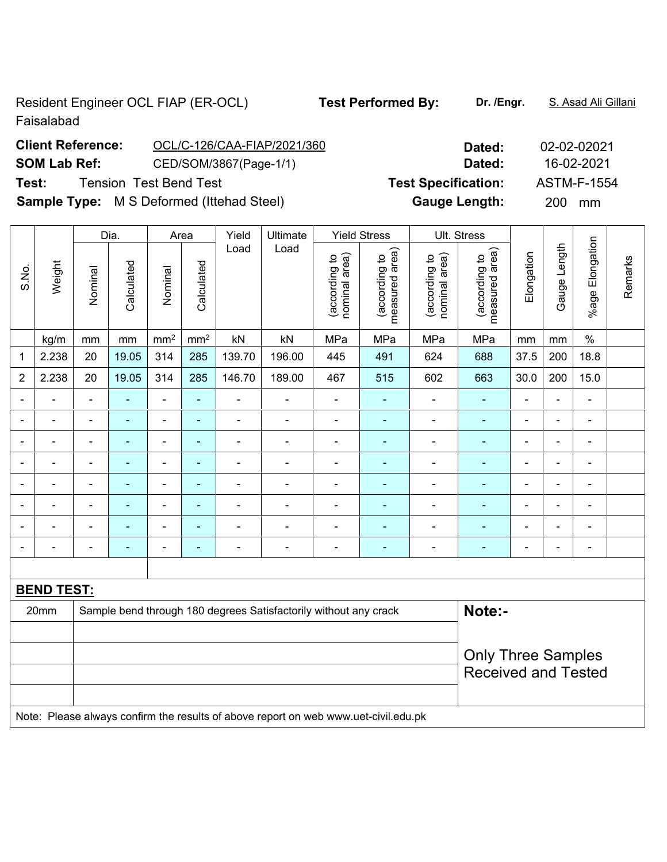Resident Engineer OCL FIAP (ER-OCL) **Test Performed By:** Dr. /Engr. S. Asad Ali Gillani Faisalabad

| <b>Client Reference:</b> | OCL/C-126/CAA-FIAP/2021/360                      | Dated:                     | 02-02-02021        |
|--------------------------|--------------------------------------------------|----------------------------|--------------------|
| <b>SOM Lab Ref:</b>      | CED/SOM/3867(Page-1/1)                           | Dated:                     | 16-02-2021         |
| Test:                    | <b>Tension Test Bend Test</b>                    | <b>Test Specification:</b> | <b>ASTM-F-1554</b> |
|                          | <b>Sample Type:</b> M S Deformed (Ittehad Steel) | <b>Gauge Length:</b>       | <b>200</b><br>mm   |

|                          |                   |                                                                            | Dia.                     |                              | Area                     | Yield                    | Ultimate                 |                                | <b>Yield Stress</b>             |                                | Ult. Stress                     |                |                          |                          |         |
|--------------------------|-------------------|----------------------------------------------------------------------------|--------------------------|------------------------------|--------------------------|--------------------------|--------------------------|--------------------------------|---------------------------------|--------------------------------|---------------------------------|----------------|--------------------------|--------------------------|---------|
| S.No.                    | Weight            | Nominal                                                                    | Calculated               | Nominal                      | Calculated               | Load                     | Load                     | nominal area)<br>(according to | (according to<br>measured area) | nominal area)<br>(according to | measured area)<br>(according to | Elongation     | Gauge Length             | Elongation<br>%age I     | Remarks |
|                          | kg/m              | mm                                                                         | $\mathsf{mm}$            | $\text{mm}^2$                | mm <sup>2</sup>          | kN                       | kN                       | MPa                            | MPa                             | MPa                            | MPa                             | mm             | mm                       | $\%$                     |         |
| $\mathbf{1}$             | 2.238             | 20                                                                         | 19.05                    | 314                          | 285                      | 139.70                   | 196.00                   | 445                            | 491                             | 624                            | 688                             | 37.5           | 200                      | 18.8                     |         |
| $\overline{2}$           | 2.238             | 20                                                                         | 19.05                    | 314                          | 285                      | 146.70                   | 189.00                   | 467                            | 515                             | 602                            | 663                             | 30.0           | 200                      | 15.0                     |         |
|                          |                   | Ξ.                                                                         | $\blacksquare$           | ÷                            | $\blacksquare$           | $\blacksquare$           | $\blacksquare$           | $\qquad \qquad \blacksquare$   | ۰                               | ۰                              | $\blacksquare$                  | $\blacksquare$ | $\blacksquare$           | $\blacksquare$           |         |
| $\blacksquare$           | $\blacksquare$    | $\overline{\phantom{a}}$                                                   | ۰                        | $\qquad \qquad \blacksquare$ | $\blacksquare$           | $\blacksquare$           | $\overline{\phantom{a}}$ | $\blacksquare$                 | $\blacksquare$                  | ۰                              | ٠                               | $\blacksquare$ | $\blacksquare$           | $\blacksquare$           |         |
|                          | $\blacksquare$    | $\blacksquare$                                                             | $\blacksquare$           | $\overline{\phantom{a}}$     | $\blacksquare$           | $\blacksquare$           | $\blacksquare$           | $\blacksquare$                 | ۰                               | ÷,                             | $\blacksquare$                  | $\blacksquare$ | $\blacksquare$           | $\blacksquare$           |         |
|                          |                   | $\blacksquare$                                                             | $\blacksquare$           | $\blacksquare$               | $\blacksquare$           | $\blacksquare$           | $\blacksquare$           | ٠                              | ۰                               | ÷                              | $\blacksquare$                  | $\blacksquare$ |                          | $\blacksquare$           |         |
|                          |                   | $\blacksquare$                                                             | $\blacksquare$           | $\overline{\phantom{0}}$     | $\overline{\phantom{0}}$ | $\blacksquare$           | $\blacksquare$           | $\qquad \qquad \blacksquare$   | ۰                               | -                              | $\blacksquare$                  | $\blacksquare$ | $\blacksquare$           | $\blacksquare$           |         |
|                          | ۰                 | $\blacksquare$                                                             | $\blacksquare$           | $\overline{a}$               | $\blacksquare$           | $\blacksquare$           | ۰                        | $\qquad \qquad \blacksquare$   | ۰                               | ۰                              | $\blacksquare$                  | $\blacksquare$ | $\overline{\phantom{0}}$ | $\overline{\phantom{0}}$ |         |
|                          | ۰                 | $\blacksquare$                                                             | $\overline{\phantom{0}}$ | $\overline{\phantom{a}}$     | $\blacksquare$           | $\blacksquare$           | $\overline{\phantom{a}}$ | $\blacksquare$                 | ۰                               | ÷                              | $\overline{\phantom{0}}$        | $\blacksquare$ | $\blacksquare$           | $\overline{\phantom{a}}$ |         |
| $\overline{\phantom{a}}$ |                   | $\overline{a}$                                                             | $\overline{\phantom{0}}$ | $\overline{\phantom{0}}$     | $\overline{a}$           | $\overline{\phantom{0}}$ | $\overline{\phantom{0}}$ | $\qquad \qquad \blacksquare$   | ۰                               | $\overline{a}$                 |                                 | $\blacksquare$ | $\overline{\phantom{0}}$ | $\blacksquare$           |         |
|                          |                   |                                                                            |                          |                              |                          |                          |                          |                                |                                 |                                |                                 |                |                          |                          |         |
|                          | <b>BEND TEST:</b> |                                                                            |                          |                              |                          |                          |                          |                                |                                 |                                |                                 |                |                          |                          |         |
|                          | 20mm              | Note:-<br>Sample bend through 180 degrees Satisfactorily without any crack |                          |                              |                          |                          |                          |                                |                                 |                                |                                 |                |                          |                          |         |
|                          |                   |                                                                            |                          |                              |                          |                          |                          |                                |                                 |                                |                                 |                |                          |                          |         |
|                          |                   |                                                                            |                          |                              |                          |                          |                          |                                |                                 |                                | <b>Only Three Samples</b>       |                |                          |                          |         |
|                          |                   |                                                                            |                          |                              |                          |                          |                          |                                |                                 |                                | <b>Received and Tested</b>      |                |                          |                          |         |
|                          |                   |                                                                            |                          |                              |                          |                          |                          |                                |                                 |                                |                                 |                |                          |                          |         |

Note: Please always confirm the results of above report on web www.uet-civil.edu.pk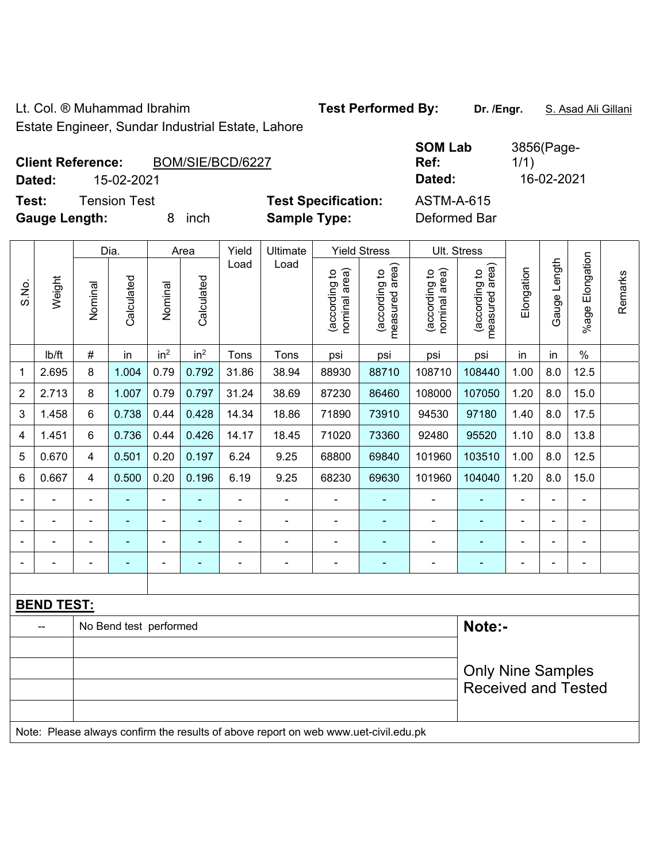Lt. Col. ® Muhammad Ibrahim **Test Performed By:** Dr. /Engr. **S. Asad Ali Gillani** 

Estate Engineer, Sundar Industrial Estate, Lahore

| <b>Client Reference:</b><br>15-02-2021<br>Dated: | BOM/SIE/BCD/6227 |                                                   | <b>SOM Lab</b><br>Ref:<br>Dated:  | 3856(Page-<br>1/1)<br>16-02-2021 |
|--------------------------------------------------|------------------|---------------------------------------------------|-----------------------------------|----------------------------------|
| Tension Test<br>Test:<br><b>Gauge Length:</b>    | inch             | <b>Test Specification:</b><br><b>Sample Type:</b> | <b>ASTM-A-615</b><br>Deformed Bar |                                  |

|                | Dia.<br>Area      |                |                        |                          | Yield           | Ultimate       |                                                                                                  | <b>Yield Stress</b>            |                                             | Ult. Stress                    |                                 |                          |                |                         |         |
|----------------|-------------------|----------------|------------------------|--------------------------|-----------------|----------------|--------------------------------------------------------------------------------------------------|--------------------------------|---------------------------------------------|--------------------------------|---------------------------------|--------------------------|----------------|-------------------------|---------|
| S.No.          | Weight            | Nominal        | Calculated             | Nominal                  | Calculated      | Load           | Load                                                                                             | nominal area)<br>(according to | (according to<br>measured area)<br>measured | nominal area)<br>(according to | (according to<br>measured area) | Elongation               | Gauge Length   | Elongation<br>$%$ age l | Remarks |
|                | Ib/ft             | #              | in                     | in <sup>2</sup>          | in <sup>2</sup> | Tons           | Tons                                                                                             | psi                            | psi                                         | psi                            | psi                             | in                       | in             | $\frac{0}{0}$           |         |
| 1              | 2.695             | 8              | 1.004                  | 0.79                     | 0.792           | 31.86          | 38.94                                                                                            | 88930                          | 88710                                       | 108710                         | 108440                          | 1.00                     | 8.0            | 12.5                    |         |
| $\overline{2}$ | 2.713             | 8              | 1.007                  | 0.79                     | 0.797           | 31.24          | 38.69                                                                                            | 87230                          | 86460                                       | 108000                         | 107050                          | 1.20                     | 8.0            | 15.0                    |         |
| 3              | 1.458             | 6              | 0.738                  | 0.44                     | 0.428           | 14.34          | 18.86                                                                                            | 71890                          | 73910                                       | 94530                          | 97180                           | 1.40                     | 8.0            | 17.5                    |         |
| 4              | 1.451             | 6              | 0.736                  | 0.44                     | 0.426           | 14.17          | 18.45                                                                                            | 71020                          | 73360                                       | 92480                          | 95520                           | 1.10                     | 8.0            | 13.8                    |         |
| 5              | 0.670             | $\overline{4}$ | 0.501                  | 0.20                     | 0.197           | 6.24           | 9.25                                                                                             | 68800                          | 69840                                       | 101960                         | 103510                          | 1.00                     | 8.0            | 12.5                    |         |
| 6              | 0.667             | $\overline{4}$ | 0.500                  | 0.20                     | 0.196           | 6.19           | 9.25                                                                                             | 68230                          | 69630                                       | 101960                         | 104040                          | 1.20                     | 8.0            | 15.0                    |         |
|                |                   | $\blacksquare$ | $\blacksquare$         | ÷,                       |                 | $\blacksquare$ | ÷,                                                                                               |                                |                                             | $\blacksquare$                 | ÷                               | $\frac{1}{2}$            | $\blacksquare$ | $\blacksquare$          |         |
|                |                   | $\blacksquare$ | ä,                     | $\blacksquare$           |                 | ÷              | ä,                                                                                               | $\blacksquare$                 |                                             | $\blacksquare$                 | ۰                               |                          |                | $\blacksquare$          |         |
|                |                   |                |                        |                          |                 |                |                                                                                                  |                                |                                             |                                |                                 |                          |                |                         |         |
|                |                   |                | $\blacksquare$         | $\overline{\phantom{0}}$ |                 | ۰              | -                                                                                                | $\overline{\phantom{0}}$       |                                             | $\overline{a}$                 | ٠                               | $\overline{\phantom{0}}$ |                | $\overline{a}$          |         |
|                |                   |                |                        |                          |                 |                |                                                                                                  |                                |                                             |                                |                                 |                          |                |                         |         |
|                | <b>BEND TEST:</b> |                |                        |                          |                 |                |                                                                                                  |                                |                                             |                                |                                 |                          |                |                         |         |
|                |                   |                | No Bend test performed |                          |                 |                |                                                                                                  |                                | Note:-                                      |                                |                                 |                          |                |                         |         |
|                |                   |                |                        |                          |                 |                |                                                                                                  |                                |                                             |                                |                                 |                          |                |                         |         |
|                |                   |                |                        |                          |                 |                |                                                                                                  |                                |                                             |                                | <b>Only Nine Samples</b>        |                          |                |                         |         |
|                |                   |                |                        |                          |                 |                |                                                                                                  |                                |                                             |                                | <b>Received and Tested</b>      |                          |                |                         |         |
|                |                   |                |                        |                          |                 |                |                                                                                                  |                                |                                             |                                |                                 |                          |                |                         |         |
|                |                   |                |                        |                          |                 |                | Mater. Discuss allows a confirmation measure of also concentrate contracts over the field with a |                                |                                             |                                |                                 |                          |                |                         |         |

Note: Please always confirm the results of above report on web www.uet-civil.edu.pk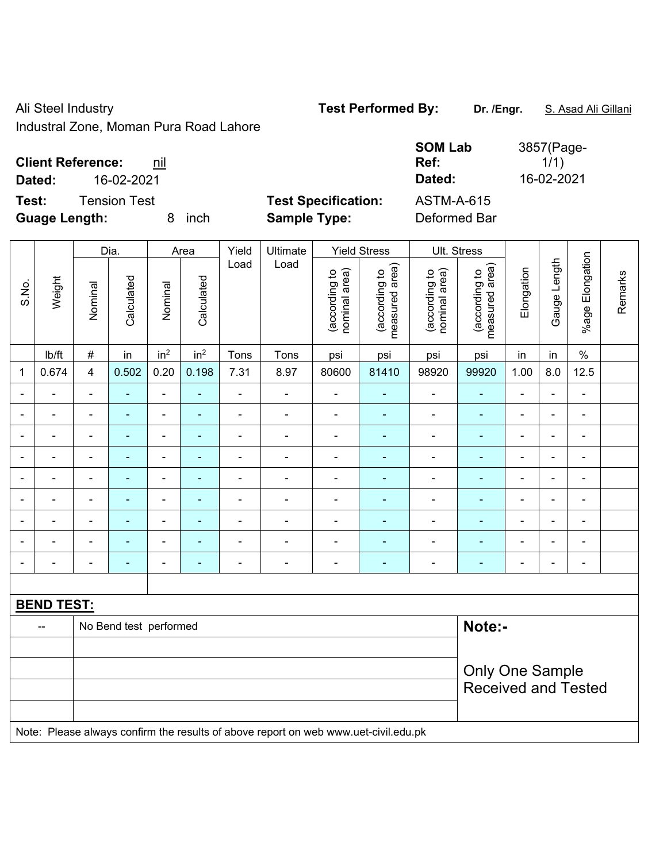Ali Steel Industry **Test Performed By:** Dr. /Engr. **S. Asad Ali Gillani** Ali Gillani

Industral Zone, Moman Pura Road Lahore

| <b>Client Reference:</b><br>nil |      |                            | <b>SOM Lab</b><br>Ref: | 3857(Page-<br>1/1) |
|---------------------------------|------|----------------------------|------------------------|--------------------|
| 16-02-2021<br>Dated:            |      |                            | Dated:                 | 16-02-2021         |
| Test:<br>Tension Test           |      | <b>Test Specification:</b> | <b>ASTM-A-615</b>      |                    |
| <b>Guage Length:</b>            | inch | <b>Sample Type:</b>        | Deformed Bar           |                    |

|                          |                   |                          | Dia.                     |                              | Area                     | Yield          | Ultimate                                                                            |                                | <b>Yield Stress</b>             |                                | Ult. Stress                     |                          |                |                       |         |
|--------------------------|-------------------|--------------------------|--------------------------|------------------------------|--------------------------|----------------|-------------------------------------------------------------------------------------|--------------------------------|---------------------------------|--------------------------------|---------------------------------|--------------------------|----------------|-----------------------|---------|
| S.No.                    | Weight            | Nominal                  | Calculated               | Nominal                      | Calculated               | Load           | Load                                                                                | nominal area)<br>(according to | (according to<br>measured area) | nominal area)<br>(according to | (according to<br>measured area) | Elongation               | Gauge Length   | Elongation<br>$%$ age | Remarks |
|                          | lb/ft             | $\#$                     | in                       | in <sup>2</sup>              | in <sup>2</sup>          | Tons           | Tons                                                                                | psi                            | psi                             | psi                            | psi                             | in                       | in             | $\%$                  |         |
| 1                        | 0.674             | $\overline{4}$           | 0.502                    | 0.20                         | 0.198                    | 7.31           | 8.97                                                                                | 80600                          | 81410                           | 98920                          | 99920                           | 1.00                     | 8.0            | 12.5                  |         |
|                          |                   |                          | $\overline{a}$           | $\qquad \qquad \blacksquare$ | ä,                       | ÷              | $\blacksquare$                                                                      | $\overline{\phantom{a}}$       | $\blacksquare$                  | ÷                              | ÷                               | $\blacksquare$           | $\blacksquare$ | $\blacksquare$        |         |
| $\overline{a}$           | ä,                | $\blacksquare$           | ä,                       | $\overline{\phantom{0}}$     | $\blacksquare$           | ÷              | $\blacksquare$                                                                      | $\blacksquare$                 | ÷                               | $\blacksquare$                 | $\blacksquare$                  | ÷,                       | $\blacksquare$ | $\blacksquare$        |         |
| $\blacksquare$           | $\blacksquare$    | $\blacksquare$           | ۰                        | $\qquad \qquad \blacksquare$ | $\overline{\phantom{0}}$ | ÷              | $\blacksquare$                                                                      | $\frac{1}{2}$                  | ۰                               | $\overline{\phantom{a}}$       | $\blacksquare$                  | $\overline{\phantom{a}}$ | $\blacksquare$ | $\blacksquare$        |         |
| $\overline{\phantom{a}}$ | $\blacksquare$    | $\blacksquare$           | $\blacksquare$           | ÷,                           | $\blacksquare$           | ä,             | $\blacksquare$                                                                      | $\blacksquare$                 | $\blacksquare$                  | $\overline{\phantom{a}}$       | $\blacksquare$                  | $\blacksquare$           | $\blacksquare$ | $\blacksquare$        |         |
| $\blacksquare$           | $\blacksquare$    | $\overline{\phantom{a}}$ | ÷,                       | $\overline{\phantom{a}}$     | ۰                        | ä,             | $\blacksquare$                                                                      | $\overline{\phantom{a}}$       | $\blacksquare$                  | $\blacksquare$                 | $\blacksquare$                  | L,                       | $\blacksquare$ | -                     |         |
|                          |                   |                          | ۰                        | ä,                           |                          |                | $\blacksquare$                                                                      | $\blacksquare$                 | $\overline{\phantom{0}}$        | $\overline{\phantom{0}}$       | $\blacksquare$                  | $\blacksquare$           |                | $\blacksquare$        |         |
|                          |                   |                          | $\blacksquare$           | $\blacksquare$               |                          |                | $\blacksquare$                                                                      | $\blacksquare$                 |                                 | $\overline{\phantom{0}}$       |                                 | Ē,                       | $\blacksquare$ | $\blacksquare$        |         |
| $\blacksquare$           | ÷                 | $\blacksquare$           | ÷                        | $\qquad \qquad \blacksquare$ | ۰                        | $\blacksquare$ | $\blacksquare$                                                                      | $\overline{\phantom{a}}$       | ٠                               | $\blacksquare$                 | $\blacksquare$                  | Ē,                       | $\blacksquare$ | $\blacksquare$        |         |
| $\blacksquare$           |                   | $\blacksquare$           | $\overline{\phantom{0}}$ | $\overline{\phantom{0}}$     | $\blacksquare$           | ÷              | $\overline{\phantom{a}}$                                                            | $\frac{1}{2}$                  | $\blacksquare$                  | $\blacksquare$                 | ٠                               | $\blacksquare$           | $\blacksquare$ | $\blacksquare$        |         |
|                          |                   |                          |                          |                              |                          |                |                                                                                     |                                |                                 |                                |                                 |                          |                |                       |         |
|                          | <b>BEND TEST:</b> |                          |                          |                              |                          |                |                                                                                     |                                |                                 |                                |                                 |                          |                |                       |         |
|                          | --                |                          | No Bend test performed   |                              |                          |                |                                                                                     |                                |                                 |                                | Note:-                          |                          |                |                       |         |
|                          |                   |                          |                          |                              |                          |                |                                                                                     |                                |                                 |                                |                                 |                          |                |                       |         |
|                          |                   |                          |                          |                              |                          |                |                                                                                     |                                |                                 |                                | Only One Sample                 |                          |                |                       |         |
|                          |                   |                          |                          |                              |                          |                |                                                                                     |                                |                                 |                                | <b>Received and Tested</b>      |                          |                |                       |         |
|                          |                   |                          |                          |                              |                          |                |                                                                                     |                                |                                 |                                |                                 |                          |                |                       |         |
|                          |                   |                          |                          |                              |                          |                | Note: Please always confirm the results of above report on web www.uet-civil.edu.pk |                                |                                 |                                |                                 |                          |                |                       |         |

3857(Page-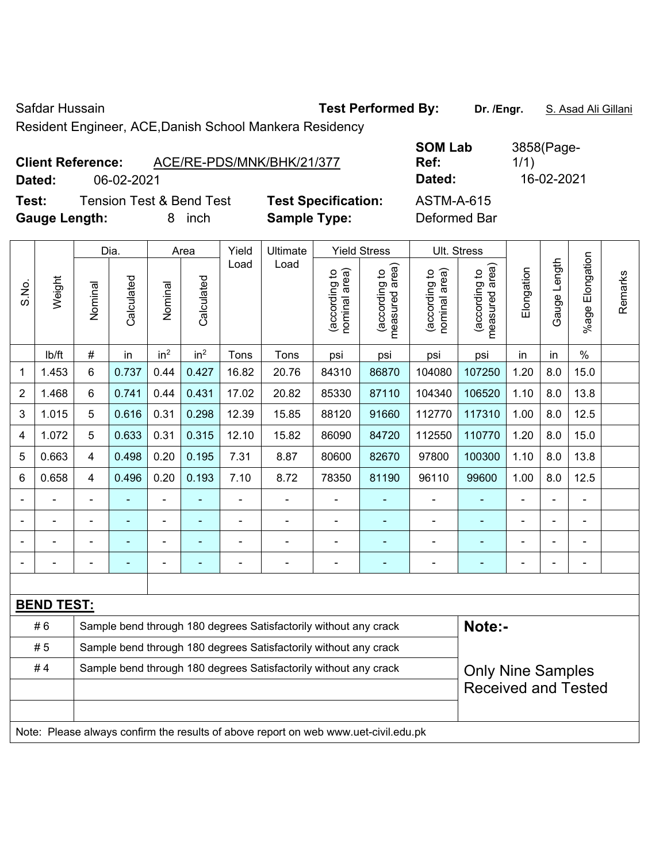Safdar Hussain **Test Performed By:** Dr. /Engr. **S. Asad Ali Gillani** Safdar Hussain

Resident Engineer, ACE,Danish School Mankera Residency

| <b>Client Reference:</b> |            | ACE/RE-PDS/MNK/BHK/21/377 |                            | Ref:         | 000011990<br>1/1) |
|--------------------------|------------|---------------------------|----------------------------|--------------|-------------------|
| Dated:                   | 06-02-2021 |                           |                            | Dated:       | 16-02-2021        |
| Test:                    |            | Tension Test & Bend Test  | <b>Test Specification:</b> | ASTM-A-615   |                   |
| <b>Gauge Length:</b>     |            | inch                      | <b>Sample Type:</b>        | Deformed Bar |                   |

**SOM Lab Ref:**  3858(Page-1/1)

|                |                   |                | Dia.           |                 | Area            | Yield                                                            | Ultimate                                                                            |                                | <b>Yield Stress</b>             |                                | Ult. Stress                                 |                |                |                          |         |
|----------------|-------------------|----------------|----------------|-----------------|-----------------|------------------------------------------------------------------|-------------------------------------------------------------------------------------|--------------------------------|---------------------------------|--------------------------------|---------------------------------------------|----------------|----------------|--------------------------|---------|
| S.No.          | Weight            | Nominal        | Calculated     | Nominal         | Calculated      | Load                                                             | Load                                                                                | nominal area)<br>(according to | measured area)<br>(according to | nominal area)<br>(according to | (according to<br>measured area)<br>measured | Elongation     | Gauge Length   | Elongation<br>$%$ age    | Remarks |
|                | lb/ft             | #              | in             | in <sup>2</sup> | in <sup>2</sup> | Tons                                                             | Tons                                                                                | psi                            | psi                             | psi                            | psi                                         | in             | in             | $\%$                     |         |
| 1              | 1.453             | 6              | 0.737          | 0.44            | 0.427           | 16.82                                                            | 20.76                                                                               | 84310                          | 86870                           | 104080                         | 107250                                      | 1.20           | 8.0            | 15.0                     |         |
| $\overline{2}$ | 1.468             | 6              | 0.741          | 0.44            | 0.431           | 17.02                                                            | 20.82                                                                               | 85330                          | 87110                           | 104340                         | 106520                                      | 1.10           | 8.0            | 13.8                     |         |
| 3              | 1.015             | 5              | 0.616          | 0.31            | 0.298           | 12.39                                                            | 15.85                                                                               | 88120                          | 91660                           | 112770                         | 117310                                      | 1.00           | 8.0            | 12.5                     |         |
| 4              | 1.072             | 5              | 0.633          | 0.31            | 0.315           | 12.10                                                            | 15.82                                                                               | 86090                          | 84720                           | 112550                         | 110770                                      | 1.20           | 8.0            | 15.0                     |         |
| 5              | 0.663             | 4              | 0.498          | 0.20            | 0.195           | 7.31                                                             | 8.87                                                                                | 80600                          | 82670                           | 97800                          | 100300                                      | 1.10           | 8.0            | 13.8                     |         |
| 6              | 0.658             | 4              | 0.496          | 0.20            | 0.193           | 7.10                                                             | 8.72                                                                                | 78350                          | 81190                           | 96110                          | 99600                                       | 1.00           | 8.0            | 12.5                     |         |
|                | $\blacksquare$    | $\blacksquare$ |                | $\blacksquare$  | ٠               | $\blacksquare$                                                   | ÷                                                                                   | $\blacksquare$                 | $\blacksquare$                  | $\blacksquare$                 |                                             | $\blacksquare$ | $\blacksquare$ |                          |         |
| $\blacksquare$ | $\blacksquare$    | $\blacksquare$ | $\blacksquare$ | ÷               | $\blacksquare$  | $\blacksquare$                                                   | ÷                                                                                   | ä,                             | ٠                               | $\blacksquare$                 | $\blacksquare$                              | $\blacksquare$ | $\blacksquare$ | $\blacksquare$           |         |
|                |                   |                |                |                 |                 |                                                                  | ۰                                                                                   | $\overline{a}$                 |                                 | $\overline{\phantom{a}}$       | ٠                                           | $\blacksquare$ |                | $\overline{\phantom{a}}$ |         |
|                | ä,                | ä,             |                | ÷               |                 | $\blacksquare$                                                   | Ē,                                                                                  | $\blacksquare$                 |                                 | ÷,                             | $\blacksquare$                              | $\blacksquare$ |                | ÷,                       |         |
|                |                   |                |                |                 |                 |                                                                  |                                                                                     |                                |                                 |                                |                                             |                |                |                          |         |
|                | <b>BEND TEST:</b> |                |                |                 |                 |                                                                  |                                                                                     |                                |                                 |                                |                                             |                |                |                          |         |
|                | #6                |                |                |                 |                 |                                                                  | Sample bend through 180 degrees Satisfactorily without any crack                    |                                |                                 |                                | Note:-                                      |                |                |                          |         |
|                | #5                |                |                |                 |                 | Sample bend through 180 degrees Satisfactorily without any crack |                                                                                     |                                |                                 |                                |                                             |                |                |                          |         |
|                | #4                |                |                |                 |                 |                                                                  | Sample bend through 180 degrees Satisfactorily without any crack                    |                                |                                 | <b>Only Nine Samples</b>       |                                             |                |                |                          |         |
|                |                   |                |                |                 |                 |                                                                  |                                                                                     |                                |                                 |                                | <b>Received and Tested</b>                  |                |                |                          |         |
|                |                   |                |                |                 |                 |                                                                  |                                                                                     |                                |                                 |                                |                                             |                |                |                          |         |
|                |                   |                |                |                 |                 |                                                                  | Note: Please always confirm the results of above report on web www.uet-civil.edu.pk |                                |                                 |                                |                                             |                |                |                          |         |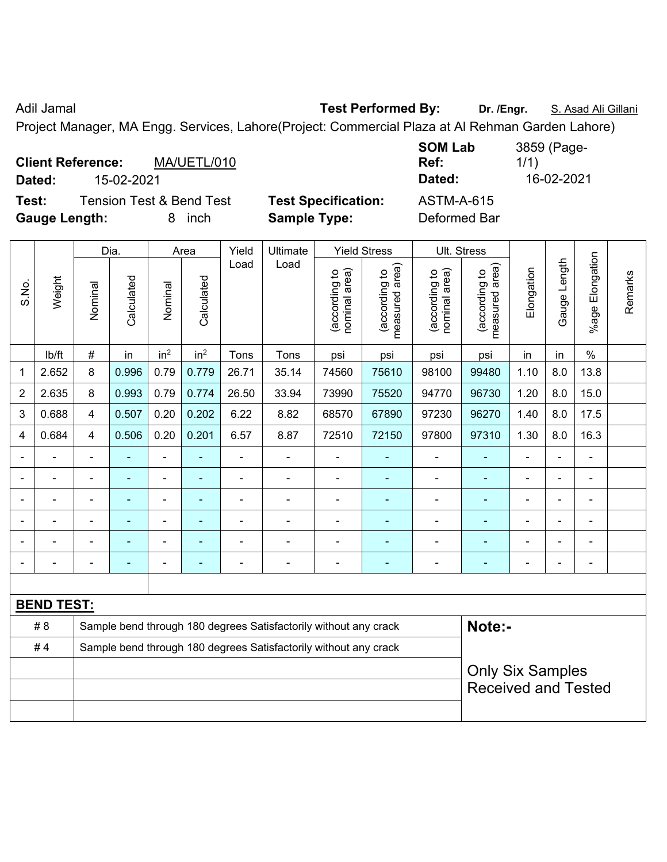Adil Jamal **Test Performed By:** Dr. /Engr. **S. Asad Ali Gillani** Adil Jamal

Project Manager, MA Engg. Services, Lahore(Project: Commercial Plaza at Al Rehman Garden Lahore)

| <b>Client Reference:</b> |            | MA/UETL/010              |                            | <b>SUM LAD</b><br>Ref: | 3839 (Page-<br>1/1) |
|--------------------------|------------|--------------------------|----------------------------|------------------------|---------------------|
| Dated:                   | 15-02-2021 |                          |                            | Dated:                 | 16-02-2021          |
| Test:                    |            | Tension Test & Bend Test | <b>Test Specification:</b> | ASTM-A-615             |                     |
| <b>Gauge Length:</b>     |            | <i>inch</i>              | <b>Sample Type:</b>        | Deformed Bar           |                     |

|                |                   |                | Dia.           |                 | Area            | Yield                                                            | <b>Ultimate</b>                                                  |                                | <b>Yield Stress</b>             |                                | Ult. Stress                     |                |                          |                          |         |
|----------------|-------------------|----------------|----------------|-----------------|-----------------|------------------------------------------------------------------|------------------------------------------------------------------|--------------------------------|---------------------------------|--------------------------------|---------------------------------|----------------|--------------------------|--------------------------|---------|
| S.No.          | Weight            | Nominal        | Calculated     | Nominal         | Calculated      | Load                                                             | Load                                                             | nominal area)<br>(according to | measured area)<br>(according to | nominal area)<br>(according to | measured area)<br>(according to | Elongation     | Gauge Length             | Elongation<br>$%$ age    | Remarks |
|                | Ib/ft             | $\#$           | in             | in <sup>2</sup> | in <sup>2</sup> | Tons                                                             | Tons                                                             | psi                            | psi                             | psi                            | psi                             | in             | in                       | $\%$                     |         |
| 1              | 2.652             | 8              | 0.996          | 0.79            | 0.779           | 26.71                                                            | 35.14                                                            | 74560                          | 75610                           | 98100                          | 99480                           | 1.10           | 8.0                      | 13.8                     |         |
| 2              | 2.635             | 8              | 0.993          | 0.79            | 0.774           | 26.50                                                            | 33.94                                                            | 73990                          | 75520                           | 94770                          | 96730                           | 1.20           | 8.0                      | 15.0                     |         |
| 3              | 0.688             | 4              | 0.507          | 0.20            | 0.202           | 6.22                                                             | 8.82                                                             | 68570                          | 67890                           | 97230                          | 96270                           | 1.40           | 8.0                      | 17.5                     |         |
| 4              | 0.684             | 4              | 0.506          | 0.20            | 0.201           | 6.57                                                             | 8.87                                                             | 72510                          | 72150                           | 97800                          | 97310                           | 1.30           | 8.0                      | 16.3                     |         |
|                |                   | $\blacksquare$ |                | $\blacksquare$  | ä,              | $\blacksquare$                                                   |                                                                  |                                |                                 |                                |                                 |                | $\blacksquare$           | $\blacksquare$           |         |
| $\blacksquare$ |                   | $\blacksquare$ | ۰              | $\blacksquare$  | $\blacksquare$  | $\blacksquare$                                                   | $\blacksquare$                                                   | $\blacksquare$                 | $\blacksquare$                  | $\blacksquare$                 | $\blacksquare$                  | $\blacksquare$ | $\blacksquare$           | $\blacksquare$           |         |
|                |                   | $\blacksquare$ | ä,             | $\blacksquare$  | ä,              | $\blacksquare$                                                   | $\blacksquare$                                                   | ä,                             | $\blacksquare$                  | $\blacksquare$                 | $\blacksquare$                  | $\blacksquare$ | $\blacksquare$           | $\blacksquare$           |         |
|                |                   | $\blacksquare$ | $\blacksquare$ | $\blacksquare$  | ä,              | $\blacksquare$                                                   | $\blacksquare$                                                   | ٠                              |                                 | $\overline{\phantom{0}}$       |                                 |                |                          | $\blacksquare$           |         |
|                |                   |                | $\blacksquare$ | $\blacksquare$  | ä,              |                                                                  |                                                                  | $\blacksquare$                 |                                 |                                |                                 |                | $\overline{\phantom{0}}$ | $\overline{a}$           |         |
| $\blacksquare$ |                   | $\blacksquare$ | ۰              | $\blacksquare$  | ٠               | $\blacksquare$                                                   | $\blacksquare$                                                   | ÷,                             | $\blacksquare$                  | $\overline{\phantom{0}}$       | $\blacksquare$                  | $\blacksquare$ | ÷,                       | $\overline{\phantom{a}}$ |         |
|                |                   |                |                |                 |                 |                                                                  |                                                                  |                                |                                 |                                |                                 |                |                          |                          |         |
|                | <b>BEND TEST:</b> |                |                |                 |                 |                                                                  |                                                                  |                                |                                 |                                |                                 |                |                          |                          |         |
|                | # 8               |                |                |                 |                 | Sample bend through 180 degrees Satisfactorily without any crack |                                                                  | Note:-                         |                                 |                                |                                 |                |                          |                          |         |
|                | #4                |                |                |                 |                 |                                                                  | Sample bend through 180 degrees Satisfactorily without any crack |                                |                                 |                                |                                 |                |                          |                          |         |
|                |                   |                |                |                 |                 |                                                                  |                                                                  |                                |                                 |                                | <b>Only Six Samples</b>         |                |                          |                          |         |
|                |                   |                |                |                 |                 |                                                                  |                                                                  |                                |                                 |                                | <b>Received and Tested</b>      |                |                          |                          |         |
|                |                   |                |                |                 |                 |                                                                  |                                                                  |                                |                                 |                                |                                 |                |                          |                          |         |

**SOM Lab**  3859 (Page-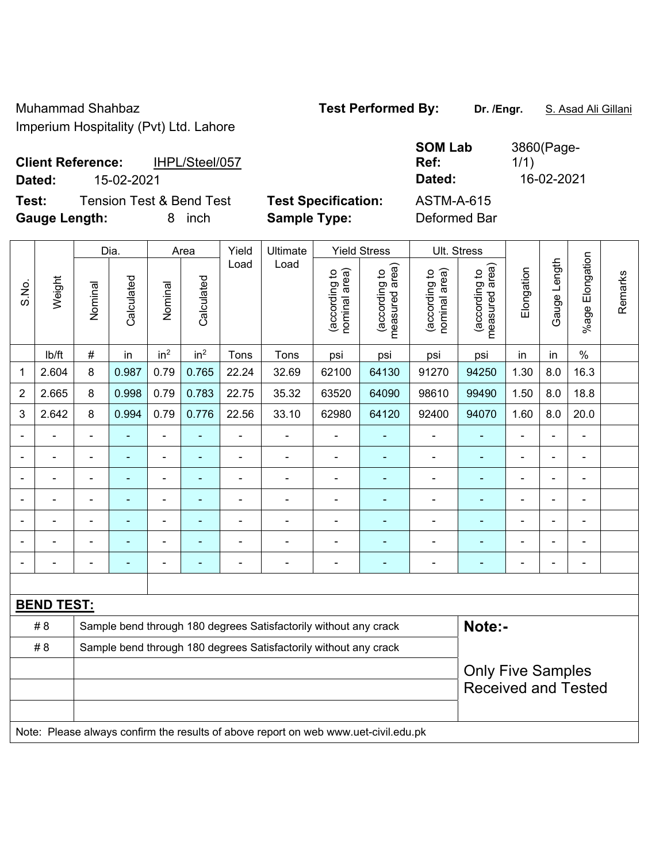Muhammad Shahbaz **Test Performed By:** Dr. /Engr. **S. Asad Ali Gillani** Imperium Hospitality (Pvt) Ltd. Lahore

| <b>SOM Lab</b><br>Ref: | 3860(Page-<br>1/1) |
|------------------------|--------------------|
| Dated:                 | 16-02-2021         |
| <b>ASTM-A-615</b>      |                    |

**Client Reference:** IHPL/Steel/057 **Dated:** 15-02-2021 **Dated:** 16-02-2021

**Test:** Tension Test & Bend Test Test Specification: **Gauge Length:** 8 inch **Sample Type:** Deformed Bar

|                |                   |                          | Dia.       |                          | Area            | Yield                    | Ultimate                                                         |                                | <b>Yield Stress</b>                         | Ult. Stress                    |                                                        |                |                |                       |         |
|----------------|-------------------|--------------------------|------------|--------------------------|-----------------|--------------------------|------------------------------------------------------------------|--------------------------------|---------------------------------------------|--------------------------------|--------------------------------------------------------|----------------|----------------|-----------------------|---------|
| S.No.          | Weight            | Nominal                  | Calculated | Nominal                  | Calculated      | Load                     | Load                                                             | nominal area)<br>(according to | (according to<br>neasured area)<br>measured | nominal area)<br>(according to | measured area)<br>(according to                        | Elongation     | Gauge Length   | Elongation<br>$%$ age | Remarks |
|                | Ib/ft             | $\#$                     | in         | in <sup>2</sup>          | in <sup>2</sup> | Tons                     | Tons                                                             | psi                            | psi                                         | psi                            | psi                                                    | in             | in             | $\%$                  |         |
| 1              | 2.604             | 8                        | 0.987      | 0.79                     | 0.765           | 22.24                    | 32.69                                                            | 62100                          | 64130                                       | 91270                          | 94250                                                  | 1.30           | 8.0            | 16.3                  |         |
| $\overline{2}$ | 2.665             | 8                        | 0.998      | 0.79                     | 0.783           | 22.75                    | 35.32                                                            | 63520                          | 64090                                       | 98610                          | 99490                                                  | 1.50           | 8.0            | 18.8                  |         |
| 3              | 2.642             | 8                        | 0.994      | 0.79                     | 0.776           | 22.56                    | 33.10                                                            | 62980                          | 64120                                       | 92400                          | 94070                                                  | 1.60           | 8.0            | 20.0                  |         |
| $\blacksquare$ |                   | $\blacksquare$           | ä,         | $\blacksquare$           | ÷               | Ē,                       | $\blacksquare$                                                   |                                |                                             | $\blacksquare$                 | $\blacksquare$                                         | $\blacksquare$ |                | $\frac{1}{2}$         |         |
|                |                   |                          |            | $\overline{\phantom{0}}$ |                 |                          |                                                                  |                                |                                             | $\blacksquare$                 | $\blacksquare$                                         |                |                | $\blacksquare$        |         |
|                |                   | $\blacksquare$           |            | ۳                        |                 |                          | $\blacksquare$                                                   |                                |                                             | ۰                              | $\blacksquare$                                         |                |                | $\blacksquare$        |         |
|                |                   |                          | ۰          | $\blacksquare$           | ۰               | $\overline{\phantom{0}}$ | $\blacksquare$                                                   | $\blacksquare$                 | $\blacksquare$                              | ۰                              | ۰                                                      | $\blacksquare$ | $\blacksquare$ | $\blacksquare$        |         |
|                |                   | ä,                       |            | $\blacksquare$           |                 |                          |                                                                  |                                |                                             | $\blacksquare$                 | $\blacksquare$                                         | $\blacksquare$ |                | ä,                    |         |
|                |                   |                          |            |                          |                 |                          |                                                                  |                                |                                             | $\overline{a}$                 |                                                        |                |                | ÷                     |         |
|                |                   | $\overline{\phantom{0}}$ |            | $\blacksquare$           | $\blacksquare$  |                          | $\blacksquare$                                                   | $\blacksquare$                 | ÷                                           | ۰                              | $\blacksquare$                                         | $\blacksquare$ |                | ÷                     |         |
|                |                   |                          |            |                          |                 |                          |                                                                  |                                |                                             |                                |                                                        |                |                |                       |         |
|                | <b>BEND TEST:</b> |                          |            |                          |                 |                          |                                                                  |                                |                                             |                                |                                                        |                |                |                       |         |
|                | # 8               |                          |            |                          |                 |                          | Sample bend through 180 degrees Satisfactorily without any crack |                                |                                             |                                | Note:-                                                 |                |                |                       |         |
|                | # 8               |                          |            |                          |                 |                          | Sample bend through 180 degrees Satisfactorily without any crack |                                |                                             |                                |                                                        |                |                |                       |         |
|                |                   |                          |            |                          |                 |                          |                                                                  |                                |                                             |                                | <b>Only Five Samples</b><br><b>Received and Tested</b> |                |                |                       |         |
|                |                   |                          |            |                          |                 |                          |                                                                  |                                |                                             |                                |                                                        |                |                |                       |         |

Note: Please always confirm the results of above report on web www.uet-civil.edu.pk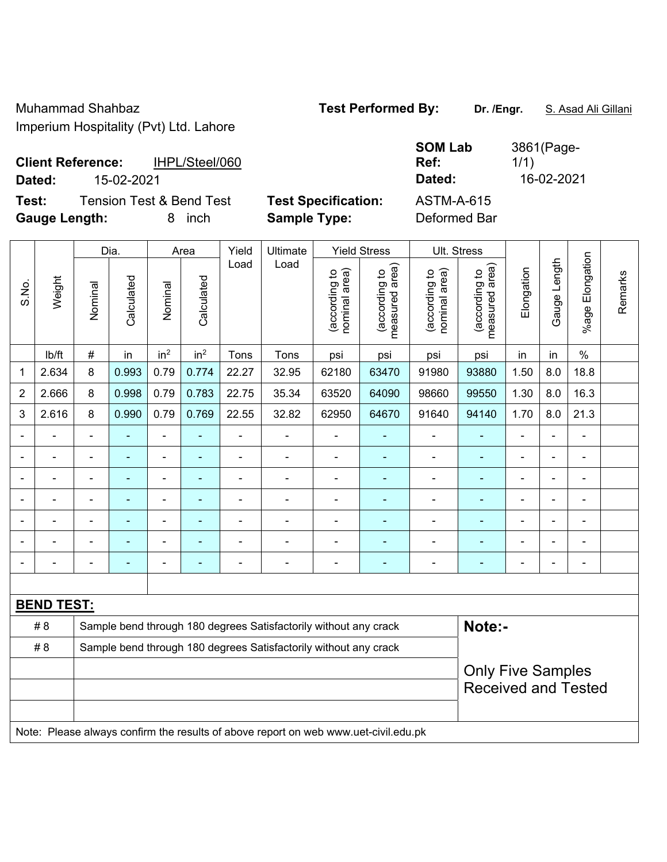Muhammad Shahbaz **Test Performed By:** Dr. /Engr. **S. Asad Ali Gillani** Imperium Hospitality (Pvt) Ltd. Lahore

**Client Reference:** IHPL/Steel/060

**Test:** Tension Test & Bend Test **Test Specification:** ASTM-A-615 **Gauge Length:** 8 inch **Sample Type:** Deformed Bar

**SOM Lab Ref:**  3861(Page-1/1) **Dated:** 15-02-2021 **Dated:** 16-02-2021

|                |                   |                                                                  | Dia.       |                          | Area            | Yield          | Ultimate                                                                            |                                | <b>Yield Stress</b>             |                                | Ult. Stress                     |                              |              |                       |         |
|----------------|-------------------|------------------------------------------------------------------|------------|--------------------------|-----------------|----------------|-------------------------------------------------------------------------------------|--------------------------------|---------------------------------|--------------------------------|---------------------------------|------------------------------|--------------|-----------------------|---------|
| S.No.          | Weight            | Nominal                                                          | Calculated | Nominal                  | Calculated      | Load           | Load                                                                                | nominal area)<br>(according to | (according to<br>measured area) | (according to<br>nominal area) | (according to<br>measured area) | Elongation                   | Gauge Length | Elongation<br>$%$ age | Remarks |
|                | lb/ft             | $\#$                                                             | in         | in <sup>2</sup>          | in <sup>2</sup> | Tons           | Tons                                                                                | psi                            | psi                             | psi                            | psi                             | in                           | in           | $\%$                  |         |
| 1              | 2.634             | 8                                                                | 0.993      | 0.79                     | 0.774           | 22.27          | 32.95                                                                               | 62180                          | 63470                           | 91980                          | 93880                           | 1.50                         | 8.0          | 18.8                  |         |
| $\overline{2}$ | 2.666             | 8                                                                | 0.998      | 0.79                     | 0.783           | 22.75          | 35.34                                                                               | 63520                          | 64090                           | 98660                          | 99550                           | 1.30                         | 8.0          | 16.3                  |         |
| 3              | 2.616             | 8                                                                | 0.990      | 0.79                     | 0.769           | 22.55          | 32.82                                                                               | 62950                          | 64670                           | 91640                          | 94140                           | 1.70                         | 8.0          | 21.3                  |         |
|                |                   |                                                                  |            | -                        | ۰               | $\blacksquare$ | $\overline{a}$                                                                      | $\blacksquare$                 | ÷                               | $\blacksquare$                 | ٠                               | $\blacksquare$               |              | ÷,                    |         |
|                | $\blacksquare$    | $\blacksquare$                                                   | ٠          | $\blacksquare$           | $\blacksquare$  | $\blacksquare$ | $\blacksquare$                                                                      | $\blacksquare$                 | $\blacksquare$                  | $\blacksquare$                 | $\blacksquare$                  | $\blacksquare$               | L.           | ÷,                    |         |
|                | $\blacksquare$    |                                                                  | Ē.         | $\overline{\phantom{0}}$ | ۰               | $\blacksquare$ | $\blacksquare$                                                                      | $\blacksquare$                 | ۰                               | $\blacksquare$                 | ٠                               | $\qquad \qquad \blacksquare$ |              |                       |         |
|                |                   |                                                                  | ÷          | ۰                        |                 | $\blacksquare$ | $\blacksquare$                                                                      | $\blacksquare$                 | $\blacksquare$                  | $\blacksquare$                 | $\blacksquare$                  | $\blacksquare$               |              |                       |         |
|                |                   |                                                                  |            | -                        |                 |                |                                                                                     | -                              |                                 |                                |                                 |                              |              | ÷                     |         |
|                |                   |                                                                  |            | ä,                       |                 |                |                                                                                     | $\blacksquare$                 | ۰                               | $\blacksquare$                 | $\overline{\phantom{0}}$        |                              |              | $\blacksquare$        |         |
|                |                   |                                                                  |            | ä,                       | ۰               | Ē,             | $\blacksquare$                                                                      | $\blacksquare$                 | ۰                               | $\blacksquare$                 | $\blacksquare$                  | $\overline{\phantom{0}}$     |              | ä,                    |         |
|                |                   |                                                                  |            |                          |                 |                |                                                                                     |                                |                                 |                                |                                 |                              |              |                       |         |
|                | <b>BEND TEST:</b> |                                                                  |            |                          |                 |                |                                                                                     |                                |                                 |                                |                                 |                              |              |                       |         |
|                | # 8               |                                                                  |            |                          |                 |                | Sample bend through 180 degrees Satisfactorily without any crack                    |                                |                                 |                                | Note:-                          |                              |              |                       |         |
|                | # 8               | Sample bend through 180 degrees Satisfactorily without any crack |            |                          |                 |                |                                                                                     |                                |                                 |                                |                                 |                              |              |                       |         |
|                |                   |                                                                  |            |                          |                 |                |                                                                                     |                                |                                 |                                | <b>Only Five Samples</b>        |                              |              |                       |         |
|                |                   |                                                                  |            |                          |                 |                |                                                                                     |                                |                                 |                                | <b>Received and Tested</b>      |                              |              |                       |         |
|                |                   |                                                                  |            |                          |                 |                |                                                                                     |                                |                                 |                                |                                 |                              |              |                       |         |
|                |                   |                                                                  |            |                          |                 |                | Note: Please always confirm the results of above report on web www.uet-civil.edu.pk |                                |                                 |                                |                                 |                              |              |                       |         |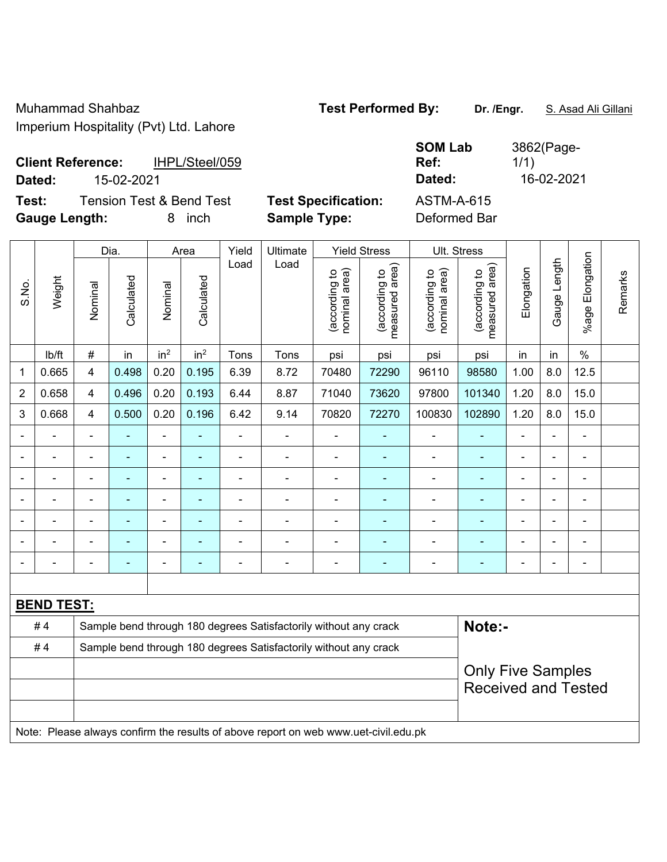Muhammad Shahbaz **Test Performed By: Dr. /Engr.** S. Asad Ali Gillani Imperium Hospitality (Pvt) Ltd. Lahore

|               | <b>SOM Lab</b> | 3862(Page- |
|---------------|----------------|------------|
|               | Ref:           | 1/1)       |
|               | Dated:         | 16-02-2021 |
| <b>ition:</b> | ASTM-A-615     |            |

**Client Reference:** IHPL/Steel/059 **Dated:** 15-02-2021 **Dated:** 16-02-2021

**Test:** Tension Test & Bend Test **Test Specification: Gauge Length:** 8 inch **Sample Type:** Deformed Bar

|                |                   |                         | Dia.                     | Area                     |                          | Yield | Ultimate                                                                            | <b>Yield Stress</b>            |                                             |                                | Ult. Stress                     |                |                |                       |         |
|----------------|-------------------|-------------------------|--------------------------|--------------------------|--------------------------|-------|-------------------------------------------------------------------------------------|--------------------------------|---------------------------------------------|--------------------------------|---------------------------------|----------------|----------------|-----------------------|---------|
| S.No.          | Weight            | Nominal                 | Calculated               | Nominal                  | Calculated               | Load  | Load                                                                                | nominal area)<br>(according to | (according to<br>measured area)<br>measured | nominal area)<br>(according to | measured area)<br>(according to | Elongation     | Gauge Length   | Elongation<br>$%$ age | Remarks |
|                | lb/ft             | $\#$                    | in                       | in <sup>2</sup>          | in <sup>2</sup>          | Tons  | Tons                                                                                | psi                            | psi                                         | psi                            | psi                             | in             | in             | $\%$                  |         |
| 1              | 0.665             | 4                       | 0.498                    | 0.20                     | 0.195                    | 6.39  | 8.72                                                                                | 70480                          | 72290                                       | 96110                          | 98580                           | 1.00           | 8.0            | 12.5                  |         |
| $\overline{2}$ | 0.658             | $\overline{\mathbf{4}}$ | 0.496                    | 0.20                     | 0.193                    | 6.44  | 8.87                                                                                | 71040                          | 73620                                       | 97800                          | 101340                          | 1.20           | 8.0            | 15.0                  |         |
| 3              | 0.668             | $\overline{4}$          | 0.500                    | 0.20                     | 0.196                    | 6.42  | 9.14                                                                                | 70820                          | 72270                                       | 100830                         | 102890                          | 1.20           | 8.0            | 15.0                  |         |
|                |                   |                         |                          |                          |                          |       | $\blacksquare$                                                                      |                                |                                             | ä,                             |                                 |                |                | L.                    |         |
| $\blacksquare$ | $\blacksquare$    | $\blacksquare$          | $\blacksquare$           | $\blacksquare$           | $\blacksquare$           | L,    | $\frac{1}{2}$                                                                       | $\blacksquare$                 | $\blacksquare$                              | $\blacksquare$                 | ٠                               | $\blacksquare$ |                | $\blacksquare$        |         |
| $\blacksquare$ |                   | $\blacksquare$          | $\blacksquare$           | $\blacksquare$           |                          | -     |                                                                                     | $\blacksquare$                 | $\blacksquare$                              | $\qquad \qquad \blacksquare$   | ۰                               | $\blacksquare$ |                | $\blacksquare$        |         |
|                | ٠                 | $\blacksquare$          | $\blacksquare$           | $\blacksquare$           | $\blacksquare$           | ä,    | ÷,                                                                                  | $\blacksquare$                 | $\blacksquare$                              | $\overline{\phantom{a}}$       | Ξ                               | $\blacksquare$ |                | $\blacksquare$        |         |
|                |                   | $\blacksquare$          | $\overline{\phantom{0}}$ | $\overline{a}$           |                          |       | $\blacksquare$                                                                      |                                | $\blacksquare$                              | ä,                             | ۰                               |                | $\blacksquare$ |                       |         |
|                |                   |                         |                          | $\overline{\phantom{0}}$ |                          |       | $\overline{a}$                                                                      | ٠                              |                                             | -                              | ÷                               |                |                | $\blacksquare$        |         |
| $\blacksquare$ |                   | Ē,                      |                          | $\blacksquare$           | $\overline{\phantom{a}}$ |       | $\blacksquare$                                                                      | $\blacksquare$                 | $\overline{a}$                              | -                              | ۰                               | ٠              |                | $\blacksquare$        |         |
|                |                   |                         |                          |                          |                          |       |                                                                                     |                                |                                             |                                |                                 |                |                |                       |         |
|                | <b>BEND TEST:</b> |                         |                          |                          |                          |       |                                                                                     |                                |                                             |                                |                                 |                |                |                       |         |
|                | #4                |                         |                          |                          |                          |       | Sample bend through 180 degrees Satisfactorily without any crack                    |                                |                                             |                                | Note:-                          |                |                |                       |         |
|                | #4                |                         |                          |                          |                          |       | Sample bend through 180 degrees Satisfactorily without any crack                    |                                |                                             |                                |                                 |                |                |                       |         |
|                |                   |                         |                          |                          | <b>Only Five Samples</b> |       |                                                                                     |                                |                                             |                                |                                 |                |                |                       |         |
|                |                   |                         |                          |                          |                          |       |                                                                                     |                                |                                             |                                | <b>Received and Tested</b>      |                |                |                       |         |
|                |                   |                         |                          |                          |                          |       |                                                                                     |                                |                                             |                                |                                 |                |                |                       |         |
|                |                   |                         |                          |                          |                          |       | Note: Please always confirm the results of above report on web www.uet-civil.edu.pk |                                |                                             |                                |                                 |                |                |                       |         |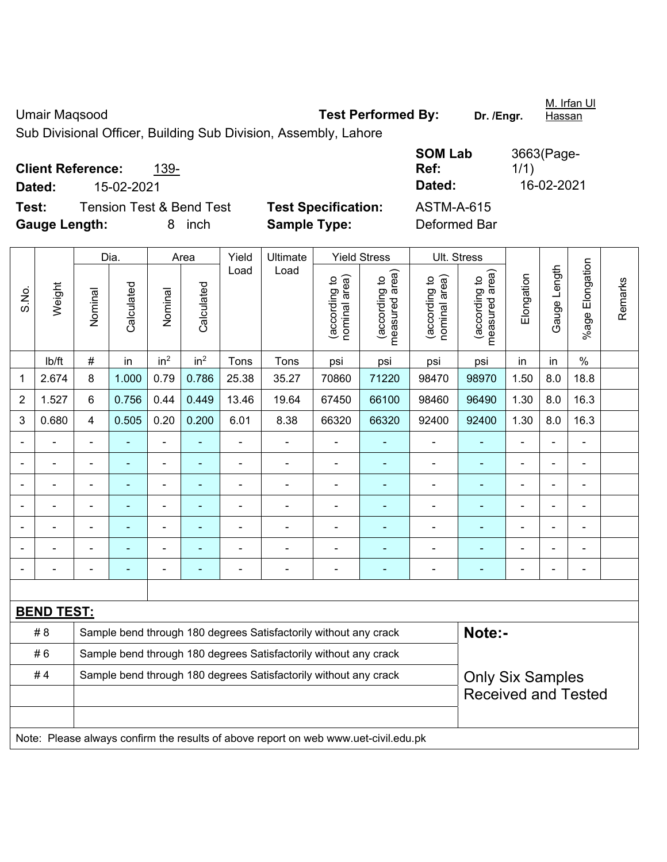Umair Maqsood **Test Performed By:** Dr. /Engr. M. Irfan Ul Hassan Sub Divisional Officer, Building Sub Division, Assembly, Lahore **Client Reference:** 139- **SOM Lab Ref:**  3663(Page-1/1)

**Dated:** 15-02-2021 **Dated:** 16-02-2021

**Test:** Tension Test & Bend Test **Test Specification:** ASTM-A-615 **Gauge Length:** 8 inch **Sample Type:** Deformed Bar

|       |                   |                                                                  | Dia.           |                 | Area                     |                | Ultimate                                                                            |                                | <b>Yield Stress</b>             |                                | Ult. Stress                     |                                |                          |                 |         |
|-------|-------------------|------------------------------------------------------------------|----------------|-----------------|--------------------------|----------------|-------------------------------------------------------------------------------------|--------------------------------|---------------------------------|--------------------------------|---------------------------------|--------------------------------|--------------------------|-----------------|---------|
| S.No. | Weight            | Nominal                                                          | Calculated     | Nominal         | Calculated               | Load           | Load                                                                                | nominal area)<br>(according to | (according to<br>measured area) | nominal area)<br>(according to | measured area)<br>(according to | Elongation                     | Gauge Length             | %age Elongation | Remarks |
|       | Ib/ft             | #                                                                | in             | in <sup>2</sup> | in <sup>2</sup>          | Tons           | Tons                                                                                | psi                            | psi                             | psi                            | psi                             | in                             | $\frac{0}{0}$            |                 |         |
| 1     | 2.674             | 8                                                                | 1.000          | 0.79            | 0.786                    | 25.38          | 35.27                                                                               | 70860                          | 71220                           | 98470                          | 98970                           | 8.0                            | 18.8                     |                 |         |
| 2     | 1.527             | 6                                                                | 0.756          | 0.44            | 0.449                    | 13.46          | 19.64                                                                               | 67450                          | 66100                           | 98460                          | 96490                           | 1.30                           | 8.0                      | 16.3            |         |
| 3     | 0.680             | $\overline{4}$                                                   | 0.505          | 0.20            | 0.200                    | 6.01           | 8.38                                                                                | 66320                          | 66320                           | 92400                          | 92400                           | 16.3                           |                          |                 |         |
|       |                   |                                                                  |                | $\blacksquare$  |                          |                |                                                                                     |                                |                                 |                                |                                 |                                | -                        | ۰               |         |
|       |                   |                                                                  | $\blacksquare$ | $\blacksquare$  | $\blacksquare$           | $\blacksquare$ | $\blacksquare$                                                                      | $\blacksquare$                 | ٠                               |                                | ٠                               |                                | ä,                       | $\blacksquare$  |         |
|       |                   | $\overline{\phantom{0}}$                                         | $\blacksquare$ | $\blacksquare$  | $\overline{\phantom{a}}$ |                | $\blacksquare$                                                                      | $\blacksquare$                 | ٠                               | $\blacksquare$                 | $\blacksquare$                  |                                | $\overline{\phantom{a}}$ |                 |         |
|       |                   | $\overline{\phantom{0}}$                                         | $\blacksquare$ | ÷,              | ä,                       |                | $\blacksquare$                                                                      | $\blacksquare$                 | $\blacksquare$                  | $\overline{\phantom{0}}$       | $\blacksquare$                  | ÷,<br>$\overline{\phantom{a}}$ |                          |                 |         |
|       |                   |                                                                  | $\blacksquare$ | $\blacksquare$  |                          |                |                                                                                     |                                | $\overline{\phantom{0}}$        | $\blacksquare$                 | ä,                              | $\blacksquare$                 |                          |                 |         |
|       |                   |                                                                  |                | ÷,              |                          |                |                                                                                     |                                | $\blacksquare$                  |                                | $\blacksquare$                  |                                |                          | $\blacksquare$  |         |
|       |                   |                                                                  |                |                 |                          |                |                                                                                     |                                |                                 |                                |                                 |                                | $\blacksquare$           | ۰               |         |
|       |                   |                                                                  |                |                 |                          |                |                                                                                     |                                |                                 |                                |                                 |                                |                          |                 |         |
|       | <b>BEND TEST:</b> |                                                                  |                |                 |                          |                |                                                                                     |                                |                                 |                                |                                 |                                |                          |                 |         |
|       | # 8               |                                                                  |                |                 |                          |                | Sample bend through 180 degrees Satisfactorily without any crack                    |                                |                                 |                                | Note:-                          |                                |                          |                 |         |
|       | #6                |                                                                  |                |                 |                          |                | Sample bend through 180 degrees Satisfactorily without any crack                    |                                |                                 |                                |                                 |                                |                          |                 |         |
|       | #4                | Sample bend through 180 degrees Satisfactorily without any crack |                |                 |                          |                |                                                                                     |                                |                                 |                                | <b>Only Six Samples</b>         |                                |                          |                 |         |
|       |                   |                                                                  |                |                 |                          |                |                                                                                     |                                |                                 |                                | <b>Received and Tested</b>      |                                |                          |                 |         |
|       |                   |                                                                  |                |                 |                          |                |                                                                                     |                                |                                 |                                |                                 |                                |                          |                 |         |
|       |                   |                                                                  |                |                 |                          |                | Note: Please always confirm the results of above report on web www.uet-civil.edu.pk |                                |                                 |                                |                                 |                                |                          |                 |         |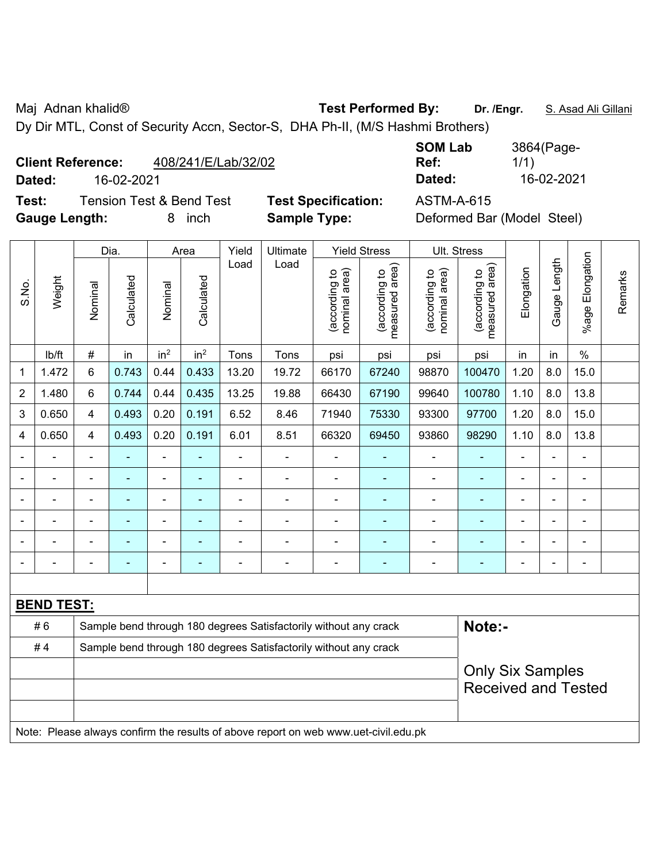Maj Adnan khalid® **Test Performed By: Dr. /Engr.** S. Asad Ali Gillani

Dy Dir MTL, Const of Security Accn, Sector-S, DHA Ph-II, (M/S Hashmi Brothers)

# **Client Reference:** 408/241/E/Lab/32/02

**Dated:** 16-02-2021 **Dated:** 16-02-2021

**Test:** Tension Test & Bend Test **Test Specification:** ASTM-A-615 **Gauge Length:** 8 inch **Sample Type:** Deformed Bar (Model Steel)

| <b>SOM Lab</b> | 3864(Page- |
|----------------|------------|
| Ref:           | 1/1)       |
| Dated:         | 16-02-2021 |

|                          |                   |                | Dia.           |                 | Area            | Yield          | Ultimate<br>Load                                                                    |                                | <b>Yield Stress</b>                         |                                | Ult. Stress                     |                |                |                          |         |
|--------------------------|-------------------|----------------|----------------|-----------------|-----------------|----------------|-------------------------------------------------------------------------------------|--------------------------------|---------------------------------------------|--------------------------------|---------------------------------|----------------|----------------|--------------------------|---------|
| S.No.                    | Weight            | Nominal        | Calculated     | Nominal         | Calculated      | Load           |                                                                                     | nominal area)<br>(according to | (according to<br>measured area)<br>measured | nominal area)<br>(according to | measured area)<br>(according to | Elongation     | Gauge Length   | Elongation<br>$%$ age l  | Remarks |
|                          | lb/ft             | $\#$           | in             | in <sup>2</sup> | in <sup>2</sup> | Tons           | Tons                                                                                | psi                            | psi                                         | psi                            | psi                             | in             | in             | $\%$                     |         |
| 1                        | 1.472             | 6              | 0.743          | 0.44            | 0.433           | 13.20          | 19.72                                                                               | 66170                          | 67240                                       | 98870                          | 100470                          | 8.0            | 15.0           |                          |         |
| $\overline{2}$           | 1.480             | 6              | 0.744          | 0.44            | 0.435           | 13.25          | 19.88                                                                               | 66430                          | 67190                                       | 99640                          | 100780                          | 1.10           | 8.0            | 13.8                     |         |
| 3                        | 0.650             | $\overline{4}$ | 0.493          | 0.20            | 0.191           | 6.52           | 8.46                                                                                | 71940                          | 75330                                       | 93300                          | 97700                           | 1.20           | 8.0            | 15.0                     |         |
| 4                        | 0.650             | $\overline{4}$ | 0.493          | 0.20            | 0.191           | 6.01           | 8.51                                                                                | 66320                          | 69450                                       | 93860                          | 98290                           | 1.10           | 8.0            | 13.8                     |         |
|                          | ÷                 | L,             |                | ÷,              |                 | $\overline{a}$ | ÷,                                                                                  | L,                             | ÷                                           | $\blacksquare$                 | ä,                              | ÷,             |                |                          |         |
|                          | ÷.                | $\blacksquare$ | $\blacksquare$ | ÷,              | ä,              | $\blacksquare$ | ä,                                                                                  | $\blacksquare$                 | $\blacksquare$                              | $\blacksquare$                 | ÷,                              | $\blacksquare$ |                |                          |         |
|                          | -                 |                | ۰              | ÷               | ٠               | ä,             | $\blacksquare$                                                                      | $\blacksquare$                 | $\blacksquare$                              | $\blacksquare$                 | -                               | ä,             | $\blacksquare$ |                          |         |
|                          |                   |                |                | Ē,              |                 |                |                                                                                     |                                | ۰                                           |                                |                                 |                |                |                          |         |
|                          |                   |                |                | Ē,              |                 |                | ÷                                                                                   |                                |                                             |                                | -                               |                |                |                          |         |
| $\overline{\phantom{0}}$ |                   | $\blacksquare$ |                | $\overline{a}$  | ٠               | ÷              | $\overline{a}$                                                                      | $\qquad \qquad \blacksquare$   | ۰                                           | $\blacksquare$                 | -                               | $\blacksquare$ | ÷,             | $\overline{\phantom{0}}$ |         |
|                          |                   |                |                |                 |                 |                |                                                                                     |                                |                                             |                                |                                 |                |                |                          |         |
|                          | <b>BEND TEST:</b> |                |                |                 |                 |                |                                                                                     |                                |                                             |                                |                                 |                |                |                          |         |
|                          | #6                |                |                |                 |                 |                | Sample bend through 180 degrees Satisfactorily without any crack                    |                                |                                             |                                | Note:-                          |                |                |                          |         |
|                          | #4                |                |                |                 |                 |                | Sample bend through 180 degrees Satisfactorily without any crack                    |                                |                                             |                                |                                 |                |                |                          |         |
|                          |                   |                |                |                 |                 |                |                                                                                     |                                |                                             |                                | <b>Only Six Samples</b>         |                |                |                          |         |
|                          |                   |                |                |                 |                 |                |                                                                                     |                                |                                             |                                | <b>Received and Tested</b>      |                |                |                          |         |
|                          |                   |                |                |                 |                 |                |                                                                                     |                                |                                             |                                |                                 |                |                |                          |         |
|                          |                   |                |                |                 |                 |                | Note: Please always confirm the results of above report on web www.uet-civil.edu.pk |                                |                                             |                                |                                 |                |                |                          |         |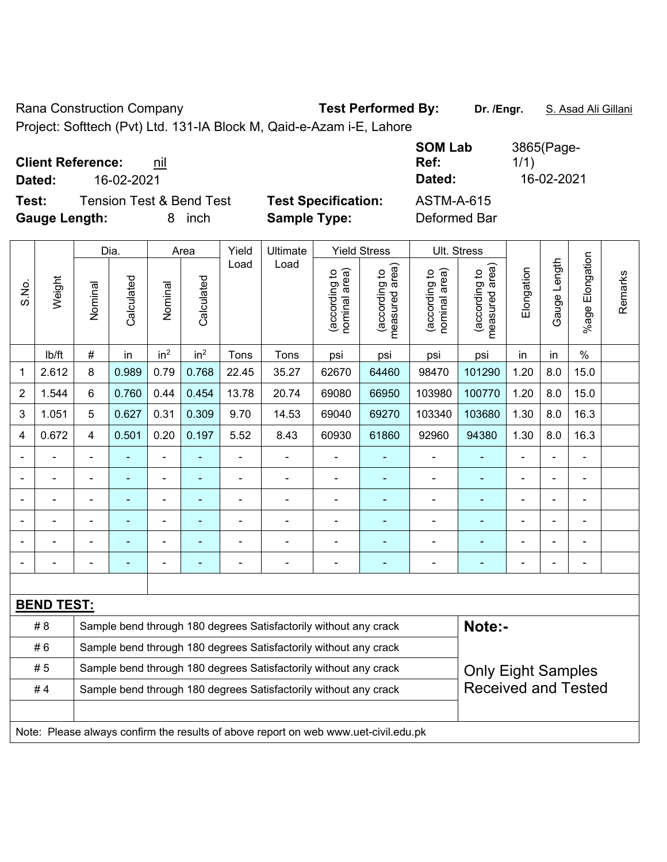Rana Construction Company **Test Performed By:** Dr. /Engr. **S. Asad Ali Gillani** 

Project: Softtech (Pvt) Ltd. 131-IA Block M, Qaid-e-Azam i-E, Lahore

| <b>Client Reference:</b><br>nil              | <b>SOM Lab</b><br>Ref:                          | 3865(Page-<br>1/1) |
|----------------------------------------------|-------------------------------------------------|--------------------|
| 16-02-2021<br>Dated:                         | Dated:                                          | 16-02-2021         |
| <b>Tension Test &amp; Bend Test</b><br>Test: | <b>Test Specification:</b><br><b>ASTM-A-615</b> |                    |
| <b>Gauge Length:</b><br>inch                 | <b>Sample Type:</b><br>Deformed Bar             |                    |

|                |                   |                                                                                                   | Dia.       |                 | Area                     | Yield          | Ultimate<br>Load                                                                    |                                | <b>Yield Stress</b>                |                                | Ult. Stress                     |            |              |                       |         |
|----------------|-------------------|---------------------------------------------------------------------------------------------------|------------|-----------------|--------------------------|----------------|-------------------------------------------------------------------------------------|--------------------------------|------------------------------------|--------------------------------|---------------------------------|------------|--------------|-----------------------|---------|
| S.No.          | Weight            | Nominal                                                                                           | Calculated | Nominal         | Calculated               | Load           |                                                                                     | nominal area)<br>(according to | area)<br>(according to<br>measured | nominal area)<br>(according to | (according to<br>measured area) | Elongation | Gauge Length | Elongation<br>$%$ age | Remarks |
|                | lb/ft             | $\#$                                                                                              | in         | in <sup>2</sup> | in <sup>2</sup>          | Tons           | Tons                                                                                | psi                            | psi                                | psi                            | psi                             | in         | in           | $\%$                  |         |
| 1              | 2.612             | 8                                                                                                 | 0.989      | 0.79            | 0.768                    | 22.45          | 35.27                                                                               | 62670                          | 64460                              | 98470                          | 101290                          | 8.0        | 15.0         |                       |         |
| 2              | 1.544             | 6                                                                                                 | 0.760      | 0.44            | 0.454                    | 13.78          | 20.74                                                                               | 69080                          | 66950                              | 103980                         | 100770                          | 1.20       | 8.0          | 15.0                  |         |
| 3              | 1.051             | 0.627<br>5<br>0.31<br>0.309<br>9.70<br>14.53<br>69040<br>69270<br>103340<br>103680<br>1.30<br>8.0 |            |                 |                          |                |                                                                                     |                                |                                    |                                |                                 |            | 16.3         |                       |         |
| $\overline{4}$ | 0.672             | $\overline{4}$                                                                                    | 0.501      | 0.20            | 0.197                    | 5.52           | 8.43                                                                                | 60930                          | 61860                              | 92960                          | 94380                           | 1.30       | 8.0          | 16.3                  |         |
|                |                   |                                                                                                   |            | ÷,              |                          | $\blacksquare$ | $\blacksquare$                                                                      | $\blacksquare$                 |                                    | $\blacksquare$                 | ÷                               |            |              | ä,                    |         |
|                |                   |                                                                                                   | ÷          | ÷,              | ٠                        | ä,             | $\blacksquare$                                                                      | $\blacksquare$                 | $\blacksquare$                     | $\blacksquare$                 | $\blacksquare$                  |            |              | $\blacksquare$        |         |
|                |                   |                                                                                                   |            | ÷               |                          | ä,             | $\blacksquare$                                                                      | $\blacksquare$                 | ٠                                  | $\blacksquare$                 | $\overline{\phantom{a}}$        |            |              |                       |         |
|                |                   |                                                                                                   |            | ÷               |                          | $\blacksquare$ |                                                                                     |                                |                                    | L                              |                                 |            |              |                       |         |
|                |                   |                                                                                                   |            | $\overline{a}$  |                          |                | $\blacksquare$                                                                      | $\blacksquare$                 |                                    | $\overline{a}$                 |                                 |            |              |                       |         |
|                |                   |                                                                                                   |            | -               | $\overline{\phantom{0}}$ | -              | $\blacksquare$                                                                      | $\blacksquare$                 |                                    | $\blacksquare$                 | ÷                               |            |              | $\blacksquare$        |         |
|                |                   |                                                                                                   |            |                 |                          |                |                                                                                     |                                |                                    |                                |                                 |            |              |                       |         |
|                | <b>BEND TEST:</b> |                                                                                                   |            |                 |                          |                |                                                                                     |                                |                                    |                                |                                 |            |              |                       |         |
|                | # 8               |                                                                                                   |            |                 |                          |                | Sample bend through 180 degrees Satisfactorily without any crack                    |                                |                                    |                                | Note:-                          |            |              |                       |         |
|                | #6                |                                                                                                   |            |                 |                          |                | Sample bend through 180 degrees Satisfactorily without any crack                    |                                |                                    |                                |                                 |            |              |                       |         |
|                | # 5               | Sample bend through 180 degrees Satisfactorily without any crack<br><b>Only Eight Samples</b>     |            |                 |                          |                |                                                                                     |                                |                                    |                                |                                 |            |              |                       |         |
|                | #4                |                                                                                                   |            |                 |                          |                | Sample bend through 180 degrees Satisfactorily without any crack                    |                                |                                    |                                | <b>Received and Tested</b>      |            |              |                       |         |
|                |                   |                                                                                                   |            |                 |                          |                |                                                                                     |                                |                                    |                                |                                 |            |              |                       |         |
|                |                   |                                                                                                   |            |                 |                          |                | Note: Please always confirm the results of above report on web www.uet-civil.edu.pk |                                |                                    |                                |                                 |            |              |                       |         |